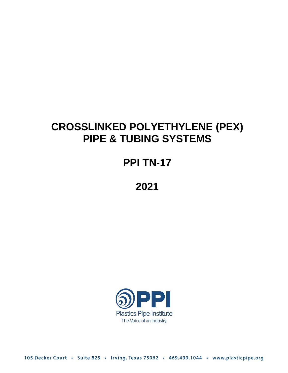# **CROSSLINKED POLYETHYLENE (PEX) PIPE & TUBING SYSTEMS**

# **PPI TN-17**

**2021**



105 Decker Court · Suite 825 · Irving, Texas 75062 · 469.499.1044 · www.plasticpipe.org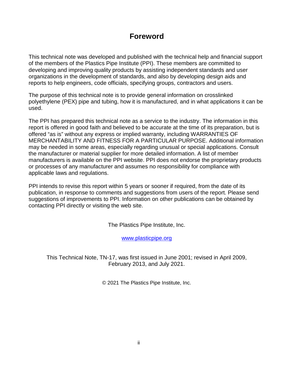## **Foreword**

This technical note was developed and published with the technical help and financial support of the members of the Plastics Pipe Institute (PPI). These members are committed to developing and improving quality products by assisting independent standards and user organizations in the development of standards, and also by developing design aids and reports to help engineers, code officials, specifying groups, contractors and users.

The purpose of this technical note is to provide general information on crosslinked polyethylene (PEX) pipe and tubing, how it is manufactured, and in what applications it can be used.

The PPI has prepared this technical note as a service to the industry. The information in this report is offered in good faith and believed to be accurate at the time of its preparation, but is offered "as is" without any express or implied warranty, including WARRANTIES OF MERCHANTABILITY AND FITNESS FOR A PARTICULAR PURPOSE. Additional information may be needed in some areas, especially regarding unusual or special applications. Consult the manufacturer or material supplier for more detailed information. A list of member manufacturers is available on the PPI website. PPI does not endorse the proprietary products or processes of any manufacturer and assumes no responsibility for compliance with applicable laws and regulations.

PPI intends to revise this report within 5 years or sooner if required, from the date of its publication, in response to comments and suggestions from users of the report. Please send suggestions of improvements to PPI. Information on other publications can be obtained by contacting PPI directly or visiting the web site.

The Plastics Pipe Institute, Inc.

[www.plasticpipe.org](https://www.plasticpipe.org/) 

This Technical Note, TN-17, was first issued in June 2001; revised in April 2009, February 2013, and July 2021.

© 2021 The Plastics Pipe Institute, Inc.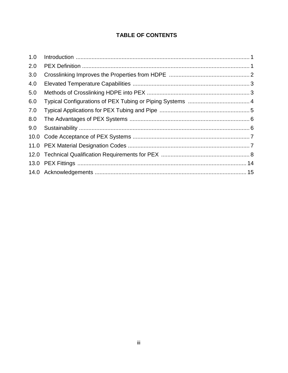## **TABLE OF CONTENTS**

| 1.0 |  |
|-----|--|
| 2.0 |  |
| 3.0 |  |
| 4.0 |  |
| 5.0 |  |
| 6.0 |  |
| 7.0 |  |
| 8.0 |  |
| 9.0 |  |
|     |  |
|     |  |
|     |  |
|     |  |
|     |  |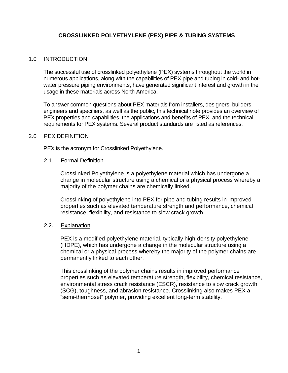## **CROSSLINKED POLYETHYLENE (PEX) PIPE & TUBING SYSTEMS**

## <span id="page-3-0"></span>1.0 INTRODUCTION

The successful use of crosslinked polyethylene (PEX) systems throughout the world in numerous applications, along with the capabilities of PEX pipe and tubing in cold- and hotwater pressure piping environments, have generated significant interest and growth in the usage in these materials across North America.

To answer common questions about PEX materials from installers, designers, builders, engineers and specifiers, as well as the public, this technical note provides an overview of PEX properties and capabilities, the applications and benefits of PEX, and the technical requirements for PEX systems. Several product standards are listed as references.

### <span id="page-3-1"></span>2.0 PEX DEFINITION

PEX is the acronym for Crosslinked Polyethylene.

#### 2.1. Formal Definition

Crosslinked Polyethylene is a polyethylene material which has undergone a change in molecular structure using a chemical or a physical process whereby a majority of the polymer chains are chemically linked.

Crosslinking of polyethylene into PEX for pipe and tubing results in improved properties such as elevated temperature strength and performance, chemical resistance, flexibility, and resistance to slow crack growth.

#### 2.2. Explanation

PEX is a modified polyethylene material, typically high-density polyethylene (HDPE), which has undergone a change in the molecular structure using a chemical or a physical process whereby the majority of the polymer chains are permanently linked to each other.

This crosslinking of the polymer chains results in improved performance properties such as elevated temperature strength, flexibility, chemical resistance, environmental stress crack resistance (ESCR), resistance to slow crack growth (SCG), toughness, and abrasion resistance. Crosslinking also makes PEX a "semi-thermoset" polymer, providing excellent long-term stability.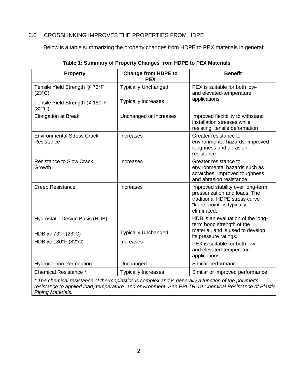## <span id="page-4-0"></span>3.0 CROSSLINKING IMPROVES THE PROPERTIES FROM HDPE

Below is a table summarizing the property changes from HDPE to PEX materials in general:

| <b>Property</b>                                   | <b>Change from HDPE to</b><br><b>PEX</b> | <b>Benefit</b>                                                                                                                                   |  |
|---------------------------------------------------|------------------------------------------|--------------------------------------------------------------------------------------------------------------------------------------------------|--|
| Tensile Yield Strength @ 73°F<br>$(23^{\circ}C)$  | <b>Typically Unchanged</b>               | PEX is suitable for both low-<br>and elevated-temperature                                                                                        |  |
| Tensile Yield Strength @ 180°F<br>$(82^{\circ}C)$ | <b>Typically Increases</b>               | applications                                                                                                                                     |  |
| <b>Elongation at Break</b>                        | Unchanged or Increases                   | Improved flexibility to withstand<br>installation stresses while<br>resisting tensile deformation                                                |  |
| <b>Environmental Stress Crack</b><br>Resistance   | <b>Increases</b>                         | Greater resistance to<br>environmental hazards. Improved<br>toughness and abrasion<br>resistance.                                                |  |
| <b>Resistance to Slow Crack</b><br>Growth         | Increases                                | Greater resistance to<br>environmental hazards such as<br>scratches. Improved toughness<br>and abrasion resistance.                              |  |
| <b>Creep Resistance</b>                           | <b>Increases</b>                         | Improved stability over long-term<br>pressurization and loads. The<br>traditional HDPE stress curve<br>"knee- point" is typically<br>eliminated. |  |
| Hydrostatic Design Basis (HDB):                   |                                          | HDB is an evaluation of the long-<br>term hoop strength of the                                                                                   |  |
| HDB @ 73°F (23°C)                                 | <b>Typically Unchanged</b>               | material, and is used to develop<br>its pressure ratings.                                                                                        |  |
| HDB @ 180°F (82°C)                                | Increases                                | PEX is suitable for both low-<br>and elevated-temperature<br>applications.                                                                       |  |
| <b>Hydrocarbon Permeation</b>                     | Unchanged                                | Similar performance                                                                                                                              |  |
| <b>Chemical Resistance *</b>                      | <b>Typically Increases</b>               | Similar or improved performance                                                                                                                  |  |

| Table 1: Summary of Property Changes from HDPE to PEX Materials |  |  |
|-----------------------------------------------------------------|--|--|
|                                                                 |  |  |

*\* The chemical resistance of thermoplastics is complex and is generally a function of the polymer's resistance to applied load, temperature, and environment. See PPI TR-19 Chemical Resistance of Plastic Piping Materials.*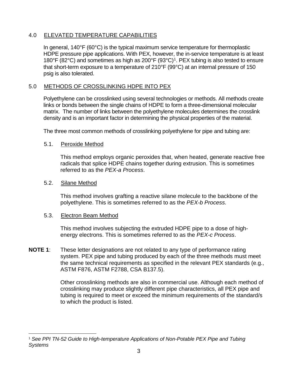## <span id="page-5-0"></span>4.0 ELEVATED TEMPERATURE CAPABILITIES

In general, 140°F (60°C) is the typical maximum service temperature for thermoplastic HDPE pressure pipe applications. With PEX, however, the in-service temperature is at least [1](#page-5-2)80°F (82°C) and sometimes as high as 200°F (93°C)<sup>1</sup>. PEX tubing is also tested to ensure that short-term exposure to a temperature of 210°F (99°C) at an internal pressure of 150 psig is also tolerated.

## <span id="page-5-1"></span>5.0 METHODS OF CROSSLINKING HDPE INTO PEX

Polyethylene can be crosslinked using several technologies or methods. All methods create links or bonds between the single chains of HDPE to form a three-dimensional molecular matrix. The number of links between the polyethylene molecules determines the crosslink density and is an important factor in determining the physical properties of the material.

The three most common methods of crosslinking polyethylene for pipe and tubing are:

## 5.1. Peroxide Method

This method employs organic peroxides that, when heated, generate reactive free radicals that splice HDPE chains together during extrusion. This is sometimes referred to as the *PEX-a Process*.

## 5.2. Silane Method

This method involves grafting a reactive silane molecule to the backbone of the polyethylene. This is sometimes referred to as the *PEX-b Process*.

## 5.3. Electron Beam Method

This method involves subjecting the extruded HDPE pipe to a dose of highenergy electrons. This is sometimes referred to as the *PEX-c Process*.

**NOTE 1**: These letter designations are not related to any type of performance rating system. PEX pipe and tubing produced by each of the three methods must meet the same technical requirements as specified in the relevant PEX standards (e.g., ASTM F876, ASTM F2788, CSA B137.5).

> Other crosslinking methods are also in commercial use. Although each method of crosslinking may produce slightly different pipe characteristics, all PEX pipe and tubing is required to meet or exceed the minimum requirements of the standard/s to which the product is listed.

<span id="page-5-2"></span> <sup>1</sup> *See PPI TN-52 Guide to High-temperature Applications of Non-Potable PEX Pipe and Tubing Systems*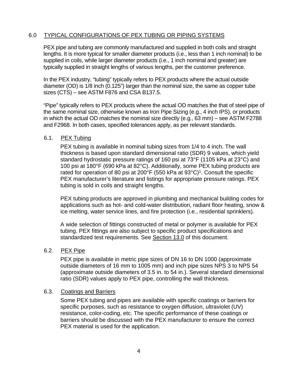## <span id="page-6-0"></span>6.0 TYPICAL CONFIGURATIONS OF PEX TUBING OR PIPING SYSTEMS

PEX pipe and tubing are commonly manufactured and supplied in both coils and straight lengths. It is more typical for smaller diameter products (i.e., less than 1 inch nominal) to be supplied in coils, while larger diameter products (i.e., 1 inch nominal and greater) are typically supplied in straight lengths of various lengths, per the customer preference.

In the PEX industry, "tubing" typically refers to PEX products where the actual outside diameter (OD) is 1/8 inch (0.125") larger than the nominal size, the same as copper tube sizes (CTS) – see ASTM F876 and CSA B137.5.

"Pipe" typically refers to PEX products where the actual OD matches the that of steel pipe of the same nominal size, otherwise known as Iron Pipe Sizing (e.g., 4 inch IPS), or products in which the actual OD matches the nominal size directly (e.g., 63 mm) – see ASTM F2788 and F2968. In both cases, specified tolerances apply, as per relevant standards.

### 6.1. PEX Tubing

PEX tubing is available in nominal tubing sizes from 1/4 to 4 inch. The wall thickness is based upon standard dimensional ratio (SDR) 9 values, which yield standard hydrostatic pressure ratings of 160 psi at 73°F (1105 kPa at 23°C) and 100 psi at 180°F (690 kPa at 82°C). Additionally, some PEX tubing products are rated for operation of 80 psi at 200°F (550 kPa at  $93^{\circ}$ C)<sup>1</sup>. Consult the specific PEX manufacturer's literature and listings for appropriate pressure ratings. PEX tubing is sold in coils and straight lengths.

PEX tubing products are approved in plumbing and mechanical building codes for applications such as hot- and cold-water distribution, radiant floor heating, snow & ice melting, water service lines, and fire protection (i.e., residential sprinklers).

A wide selection of fittings constructed of metal or polymer is available for PEX tubing. PEX fittings are also subject to specific product specifications and standardized test requirements. See Section 13.0 of this document.

## 6.2. PEX Pipe

PEX pipe is available in metric pipe sizes of DN 16 to DN 1000 (approximate outside diameters of 16 mm to 1005 mm) and inch pipe sizes NPS 3 to NPS 54 (approximate outside diameters of 3.5 in. to 54 in.). Several standard dimensional ratio (SDR) values apply to PEX pipe, controlling the wall thickness.

## 6.3. Coatings and Barriers

Some PEX tubing and pipes are available with specific coatings or barriers for specific purposes, such as resistance to oxygen diffusion, ultraviolet (UV) resistance, color-coding, etc. The specific performance of these coatings or barriers should be discussed with the PEX manufacturer to ensure the correct PEX material is used for the application.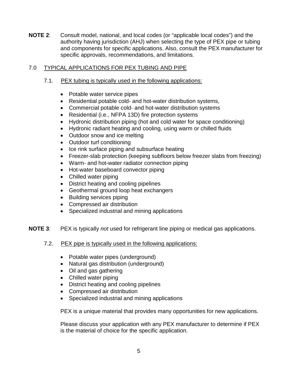**NOTE 2**: Consult model, national, and local codes (or "applicable local codes") and the authority having jurisdiction (AHJ) when selecting the type of PEX pipe or tubing and components for specific applications. Also, consult the PEX manufacturer for specific approvals, recommendations, and limitations.

## <span id="page-7-0"></span>7.0 TYPICAL APPLICATIONS FOR PEX TUBING AND PIPE

- 7.1. PEX tubing is typically used in the following applications:
	- Potable water service pipes
	- Residential potable cold- and hot-water distribution systems,
	- Commercial potable cold- and hot-water distribution systems
	- Residential (i.e., NFPA 13D) fire protection systems
	- Hydronic distribution piping (hot and cold water for space conditioning)
	- Hydronic radiant heating and cooling, using warm or chilled fluids
	- Outdoor snow and ice melting
	- Outdoor turf conditioning
	- Ice rink surface piping and subsurface heating
	- Freezer-slab protection (keeping subfloors below freezer slabs from freezing)
	- Warm- and hot-water radiator connection piping
	- Hot-water baseboard convector piping
	- Chilled water piping
	- District heating and cooling pipelines
	- Geothermal ground loop heat exchangers
	- Building services piping
	- Compressed air distribution
	- Specialized industrial and mining applications
- **NOTE 3**: PEX is typically *not* used for refrigerant line piping or medical gas applications.
	- 7.2. PEX pipe is typically used in the following applications:
		- Potable water pipes (underground)
		- Natural gas distribution (underground)
		- Oil and gas gathering
		- Chilled water piping
		- District heating and cooling pipelines
		- Compressed air distribution
		- Specialized industrial and mining applications

PEX is a unique material that provides many opportunities for new applications.

Please discuss your application with any PEX manufacturer to determine if PEX is the material of choice for the specific application.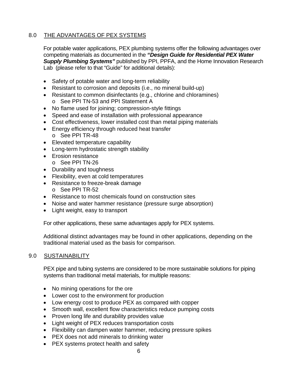## <span id="page-8-0"></span>8.0 THE ADVANTAGES OF PEX SYSTEMS

For potable water applications, PEX plumbing systems offer the following advantages over competing materials as documented in the *"Design Guide for Residential PEX Water Supply Plumbing Systems"* published by PPI, PPFA, and the Home Innovation Research Lab (please refer to that "Guide" for additional details):

- Safety of potable water and long-term reliability
- Resistant to corrosion and deposits (i.e., no mineral build-up)
- Resistant to common disinfectants (e.g., chlorine and chloramines)
	- o See PPI TN-53 and PPI Statement A
- No flame used for joining; compression-style fittings
- Speed and ease of installation with professional appearance
- Cost effectiveness, lower installed cost than metal piping materials
- Energy efficiency through reduced heat transfer o See PPI TR-48
- Elevated temperature capability
- Long-term hydrostatic strength stability
- Erosion resistance
	- o See PPI TN-26
- Durability and toughness
- Flexibility, even at cold temperatures
- Resistance to freeze-break damage
	- o See PPI TR-52
- Resistance to most chemicals found on construction sites
- Noise and water hammer resistance (pressure surge absorption)
- Light weight, easy to transport

For other applications, these same advantages apply for PEX systems.

Additional distinct advantages may be found in other applications, depending on the traditional material used as the basis for comparison.

## <span id="page-8-1"></span>9.0 SUSTAINABILITY

PEX pipe and tubing systems are considered to be more sustainable solutions for piping systems than traditional metal materials, for multiple reasons:

- No mining operations for the ore
- Lower cost to the environment for production
- Low energy cost to produce PEX as compared with copper
- Smooth wall, excellent flow characteristics reduce pumping costs
- Proven long life and durability provides value
- Light weight of PEX reduces transportation costs
- Flexibility can dampen water hammer, reducing pressure spikes
- PEX does not add minerals to drinking water
- PEX systems protect health and safety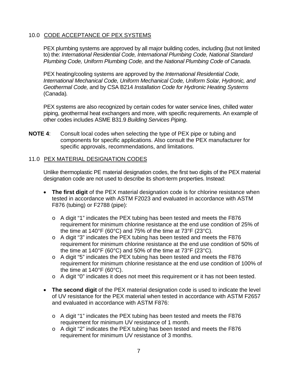## <span id="page-9-0"></span>10.0 CODE ACCEPTANCE OF PEX SYSTEMS

PEX plumbing systems are approved by all major building codes, including (but not limited to) the: *International Residential Code, International Plumbing Code, National Standard Plumbing Code, Uniform Plumbing Code,* and the *National Plumbing Code of Canada*.

PEX heating/cooling systems are approved by the *International Residential Code, International Mechanical Code, Uniform Mechanical Code, Uniform Solar, Hydronic, and Geothermal Code,* and by CSA B214 *Installation Code for Hydronic Heating Systems*  (Canada)*.*

PEX systems are also recognized by certain codes for water service lines, chilled water piping, geothermal heat exchangers and more, with specific requirements. An example of other codes includes ASME B31.9 *Building Services Piping*.

**NOTE 4**: Consult local codes when selecting the type of PEX pipe or tubing and components for specific applications. Also consult the PEX manufacturer for specific approvals, recommendations, and limitations.

## <span id="page-9-1"></span>11.0 PEX MATERIAL DESIGNATION CODES

Unlike thermoplastic PE material designation codes, the first two digits of the PEX material designation code are not used to describe its short-term properties. Instead:

- **The first digit** of the PEX material designation code is for chlorine resistance when tested in accordance with ASTM F2023 and evaluated in accordance with ASTM F876 (tubing) or F2788 (pipe):
	- o A digit "1" indicates the PEX tubing has been tested and meets the F876 requirement for minimum chlorine resistance at the end use condition of 25% of the time at 140°F (60°C) and 75% of the time at 73°F (23°C).
	- o A digit "3" indicates the PEX tubing has been tested and meets the F876 requirement for minimum chlorine resistance at the end use condition of 50% of the time at 140°F (60°C) and 50% of the time at 73°F (23°C).
	- o A digit "5" indicates the PEX tubing has been tested and meets the F876 requirement for minimum chlorine resistance at the end use condition of 100% of the time at 140°F (60°C).
	- o A digit "0" indicates it does not meet this requirement or it has not been tested.
- **The second digit** of the PEX material designation code is used to indicate the level of UV resistance for the PEX material when tested in accordance with ASTM F2657 and evaluated in accordance with ASTM F876:
	- o A digit "1" indicates the PEX tubing has been tested and meets the F876 requirement for minimum UV resistance of 1 month.
	- o A digit "2" indicates the PEX tubing has been tested and meets the F876 requirement for minimum UV resistance of 3 months.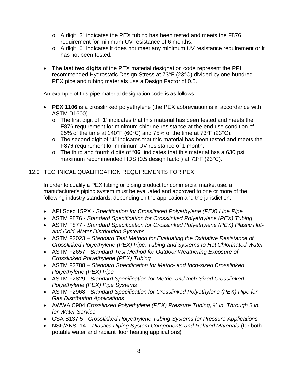- o A digit "3" indicates the PEX tubing has been tested and meets the F876 requirement for minimum UV resistance of 6 months.
- o A digit "0" indicates it does not meet any minimum UV resistance requirement or it has not been tested.
- **The last two digits** of the PEX material designation code represent the PPI recommended Hydrostatic Design Stress at 73°F (23°C) divided by one hundred. PEX pipe and tubing materials use a Design Factor of 0.5.

An example of this pipe material designation code is as follows:

- **PEX 1106** is a crosslinked polyethylene (the PEX abbreviation is in accordance with ASTM D1600)
	- o The first digit of "**1**" indicates that this material has been tested and meets the F876 requirement for minimum chlorine resistance at the end use condition of 25% of the time at 140°F (60°C) and 75% of the time at 73°F (23°C).
	- o The second digit of "**1**" indicates that this material has been tested and meets the F876 requirement for minimum UV resistance of 1 month.
	- o The third and fourth digits of "**06**" indicates that this material has a 630 psi maximum recommended HDS (0.5 design factor) at 73°F (23°C).

## <span id="page-10-0"></span>12.0 TECHNICAL QUALIFICATION REQUIREMENTS FOR PEX

In order to qualify a PEX tubing or piping product for commercial market use, a manufacturer's piping system must be evaluated and approved to one or more of the following industry standards, depending on the application and the jurisdiction:

- API Spec 15PX *Specification for Crosslinked Polyethylene (PEX) Line Pipe*
- ASTM F876 *Standard Specification for Crosslinked Polyethylene (PEX) Tubing*
- ASTM F877 *Standard Specification for Crosslinked Polyethylene (PEX) Plastic Hotand Cold-Water Distribution Systems*
- ASTM F2023 *Standard Test Method for Evaluating the Oxidative Resistance of Crosslinked Polyethylene (PEX) Pipe, Tubing and Systems to Hot Chlorinated Water*
- ASTM F2657 *Standard Test Method for Outdoor Weathering Exposure of Crosslinked Polyethylene (PEX) Tubing*
- ASTM F2788 *Standard Specification for Metric- and Inch-sized Crosslinked Polyethylene (PEX) Pipe*
- ASTM F2829 *Standard Specification for Metric- and Inch-Sized Crosslinked Polyethylene (PEX) Pipe Systems*
- ASTM F2968 *- Standard Specification for Crosslinked Polyethylene (PEX) Pipe for Gas Distribution Applications*
- AWWA C904 *Crosslinked Polyethylene (PEX) Pressure Tubing, ½ in. Through 3 in. for Water Service*
- CSA B137.5 *Crosslinked Polyethylene Tubing Systems for Pressure Applications*
- NSF/ANSI 14 *Plastics Piping System Components and Related Materials* (for both potable water and radiant floor heating applications)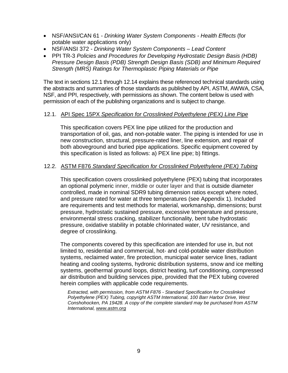- NSF/ANSI/CAN 61 *Drinking Water System Components - Health Effects* (for potable water applications only)
- NSF/ANSI 372 *Drinking Water System Components – Lead Content*
- PPI TR-3 *Policies and Procedures for Developing Hydrostatic Design Basis (HDB) Pressure Design Basis (PDB) Strength Design Basis (SDB) and Minimum Required Strength (MRS) Ratings for Thermoplastic Piping Materials or Pipe*

The text in sections 12.1 through 12.14 explains these referenced technical standards using the abstracts and summaries of those standards as published by API, ASTM, AWWA, CSA, NSF, and PPI, respectively, with permissions as shown. The content below is used with permission of each of the publishing organizations and is subject to change.

## 12.1. API Spec 15PX *Specification for Crosslinked Polyethylene (PEX) Line Pipe*

This specification covers PEX line pipe utilized for the production and transportation of oil, gas, and non-potable water. The piping is intended for use in new construction, structural, pressure-rated liner, line extension, and repair of both aboveground and buried pipe applications. Specific equipment covered by this specification is listed as follows: a) PEX line pipe; b) fittings.

### 12.2. ASTM F876 *Standard Specification for Crosslinked Polyethylene (PEX) Tubing*

This specification covers crosslinked polyethylene (PEX) tubing that incorporates an optional polymeric inner, middle or outer layer and that is outside diameter controlled, made in nominal SDR9 tubing dimension ratios except where noted, and pressure rated for water at three temperatures (see Appendix 1). Included are requirements and test methods for material, workmanship, dimensions; burst pressure, hydrostatic sustained pressure, excessive temperature and pressure, environmental stress cracking, stabilizer functionality, bent tube hydrostatic pressure, oxidative stability in potable chlorinated water, UV resistance, and degree of crosslinking.

The components covered by this specification are intended for use in, but not limited to, residential and commercial, hot- and cold-potable water distribution systems, reclaimed water, fire protection, municipal water service lines, radiant heating and cooling systems, hydronic distribution systems, snow and ice melting systems, geothermal ground loops, district heating, turf conditioning, compressed air distribution and building services pipe, provided that the PEX tubing covered herein complies with applicable code requirements.

*Extracted, with permission, from ASTM F876 - Standard Specification for Crosslinked Polyethylene (PEX) Tubing, copyright ASTM International, 100 Barr Harbor Drive, West Conshohocken, PA 19428. A copy of the complete standard may be purchased from ASTM International, [www.astm.org](http://www.astm.org/)*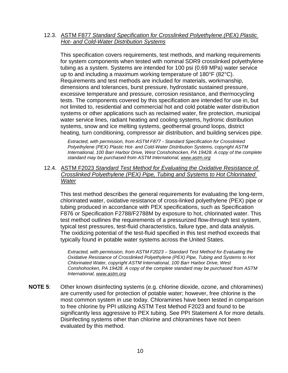12.3. ASTM F877 *Standard Specification for Crosslinked Polyethylene (PEX) Plastic Hot- and Cold-Water Distribution Systems*

This specification covers requirements, test methods, and marking requirements for system components when tested with nominal SDR9 crosslinked polyethylene tubing as a system. Systems are intended for 100 psi (0.69 MPa) water service up to and including a maximum working temperature of 180°F (82°C). Requirements and test methods are included for materials, workmanship, dimensions and tolerances, burst pressure, hydrostatic sustained pressure, excessive temperature and pressure, corrosion resistance, and thermocycling tests. The components covered by this specification are intended for use in, but not limited to, residential and commercial hot and cold potable water distribution systems or other applications such as reclaimed water, fire protection, municipal water service lines, radiant heating and cooling systems, hydronic distribution systems, snow and ice melting systems, geothermal ground loops, district heating, turn conditioning, compressor air distribution, and building services pipe.

*Extracted, with permission, from ASTM F877 - Standard Specification for Crosslinked Polyethylene (PEX) Plastic Hot- and Cold-Water Distribution Systems, copyright ASTM International, 100 Barr Harbor Drive, West Conshohocken, PA 19428. A copy of the complete standard may be purchased from ASTM International, [www.astm.org](http://www.astm.org/)*

12.4. ASTM F2023 *Standard Test Method for Evaluating the Oxidative Resistance of Crosslinked Polyethylene (PEX) Pipe, Tubing and Systems to Hot Chlorinated Water*

This test method describes the general requirements for evaluating the long-term, chlorinated water, oxidative resistance of cross-linked polyethylene (PEX) pipe or tubing produced in accordance with PEX specifications, such as Specification F876 or Specification F2788/F2788M by exposure to hot, chlorinated water. This test method outlines the requirements of a pressurized flow-through test system, typical test pressures, test-fluid characteristics, failure type, and data analysis. The oxidizing potential of the test-fluid specified in this test method exceeds that typically found in potable water systems across the United States.

*Extracted, with permission, from ASTM F2023 – Standard Test Method for Evaluating the Oxidative Resistance of Crosslinked Polyethylene (PEX) Pipe, Tubing and Systems to Hot Chlorinated Water, copyright ASTM International, 100 Barr Harbor Drive, West Conshohocken, PA 19428. A copy of the complete standard may be purchased from ASTM International, [www.astm.org](http://www.astm.org/)*

**NOTE 5**: Other known disinfecting systems (e.g. chlorine dioxide, ozone, and chloramines) are currently used for protection of potable water; however, free chlorine is the most common system in use today. Chloramines have been tested in comparison to free chlorine by PPI utilizing ASTM Test Method F2023 and found to be significantly less aggressive to PEX tubing. See PPI Statement A for more details. Disinfecting systems other than chlorine and chloramines have not been evaluated by this method.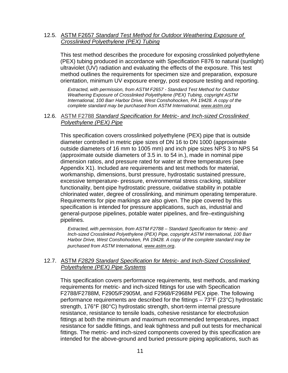## 12.5. ASTM F2657 *Standard Test Method for Outdoor Weathering Exposure of Crosslinked Polyethylene (PEX) Tubing*

This test method describes the procedure for exposing crosslinked polyethylene (PEX) tubing produced in accordance with Specification F876 to natural (sunlight) ultraviolet (UV) radiation and evaluating the effects of the exposure. This test method outlines the requirements for specimen size and preparation, exposure orientation, minimum UV exposure energy, post exposure testing and reporting.

*Extracted, with permission, from ASTM F2657 - Standard Test Method for Outdoor Weathering Exposure of Crosslinked Polyethylene (PEX) Tubing, copyright ASTM International, 100 Barr Harbor Drive, West Conshohocken, PA 19428. A copy of the complete standard may be purchased from ASTM International, [www.astm.org](http://www.astm.org/)*

### 12.6. ASTM F2788 *Standard Specification for Metric- and Inch-sized Crosslinked Polyethylene (PEX) Pipe*

This specification covers crosslinked polyethylene (PEX) pipe that is outside diameter controlled in metric pipe sizes of DN 16 to DN 1000 (approximate outside diameters of 16 mm to 1005 mm) and inch pipe sizes NPS 3 to NPS 54 (approximate outside diameters of 3.5 in. to 54 in.), made in nominal pipe dimension ratios, and pressure rated for water at three temperatures (see Appendix X1). Included are requirements and test methods for material, workmanship, dimensions, burst pressure, hydrostatic sustained pressure, excessive temperature- pressure, environmental stress cracking, stabilizer functionality, bent-pipe hydrostatic pressure, oxidative stability in potable chlorinated water, degree of crosslinking, and minimum operating temperature. Requirements for pipe markings are also given. The pipe covered by this specification is intended for pressure applications, such as, industrial and general-purpose pipelines, potable water pipelines, and fire–extinguishing pipelines.

*Extracted, with permission, from ASTM F2788 – Standard Specification for Metric- and Inch-sized Crosslinked Polyethylene (PEX) Pipe, copyright ASTM International, 100 Barr Harbor Drive, West Conshohocken, PA 19428. A copy of the complete standard may be purchased from ASTM International, [www.astm.org](http://www.astm.org/)*.

## 12.7. ASTM *F2829 Standard Specification for Metric- and Inch-Sized Crosslinked Polyethylene (PEX) Pipe Systems*

This specification covers performance requirements, test methods, and marking requirements for metric- and inch-sized fittings for use with Specification F2788/F2788M, F2905/F2905M, and F2968/F2968M PEX pipe. The following performance requirements are described for the fittings – 73°F (23°C) hydrostatic strength, 176°F (80°C) hydrostatic strength, short-term internal pressure resistance, resistance to tensile loads, cohesive resistance for electrofusion fittings at both the minimum and maximum recommended temperatures, impact resistance for saddle fittings, and leak tightness and pull out tests for mechanical fittings. The metric- and inch-sized components covered by this specification are intended for the above-ground and buried pressure piping applications, such as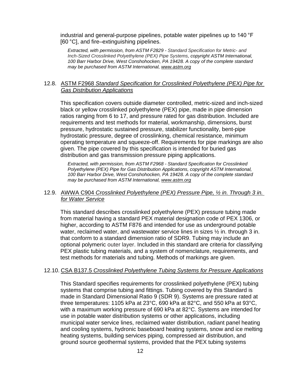industrial and general-purpose pipelines, potable water pipelines up to 140 °F [60 °C], and fire–extinguishing pipelines.

*Extracted, with permission, from ASTM F2829 - Standard Specification for Metric- and Inch-Sized Crosslinked Polyethylene (PEX) Pipe Systems, copyright ASTM International, 100 Barr Harbor Drive, West Conshohocken, PA 19428. A copy of the complete standard may be purchased from ASTM International, [www.astm.org](http://www.astm.org/)*

## 12.8. ASTM F2968 *Standard Specification for Crosslinked Polyethylene (PEX) Pipe for Gas Distribution Applications*

This specification covers outside diameter controlled, metric-sized and inch-sized black or yellow crosslinked polyethylene (PEX) pipe, made in pipe dimension ratios ranging from 6 to 17, and pressure rated for gas distribution. Included are requirements and test methods for material, workmanship, dimensions, burst pressure, hydrostatic sustained pressure, stabilizer functionality, bent-pipe hydrostatic pressure, degree of crosslinking, chemical resistance, minimum operating temperature and squeeze-off. Requirements for pipe markings are also given. The pipe covered by this specification is intended for buried gas distribution and gas transmission pressure piping applications.

*Extracted, with permission, from ASTM F2968 - Standard Specification for Crosslinked Polyethylene (PEX) Pipe for Gas Distribution Applications, copyright ASTM International, 100 Barr Harbor Drive, West Conshohocken, PA 19428. A copy of the complete standard may be purchased from ASTM International, [www.astm.org](http://www.astm.org/)*

## 12.9. AWWA C904 *Crosslinked Polyethylene (PEX) Pressure Pipe, ½ in. Through 3 in. for Water Service*

This standard describes crosslinked polyethylene (PEX) pressure tubing made from material having a standard PEX material designation code of PEX 1306, or higher, according to ASTM F876 and intended for use as underground potable water, reclaimed water, and wastewater service lines in sizes  $\frac{1}{2}$  in. through 3 in. that conform to a standard dimension ratio of SDR9. Tubing may include an optional polymeric outer layer. Included in this standard are criteria for classifying PEX plastic tubing materials, and a system of nomenclature, requirements, and test methods for materials and tubing. Methods of markings are given.

## 12.10. CSA B137.5 *Crosslinked Polyethylene Tubing Systems for Pressure Applications*

This Standard specifies requirements for crosslinked polyethylene (PEX) tubing systems that comprise tubing and fittings. Tubing covered by this Standard is made in Standard Dimensional Ratio 9 (SDR 9). Systems are pressure rated at three temperatures: 1105 kPa at 23°C, 690 kPa at 82°C, and 550 kPa at 93°C, with a maximum working pressure of 690 kPa at 82°C. Systems are intended for use in potable water distribution systems or other applications, including municipal water service lines, reclaimed water distribution, radiant panel heating and cooling systems, hydronic baseboard heating systems, snow and ice melting heating systems, building services piping, compressed air distribution, and ground source geothermal systems, provided that the PEX tubing systems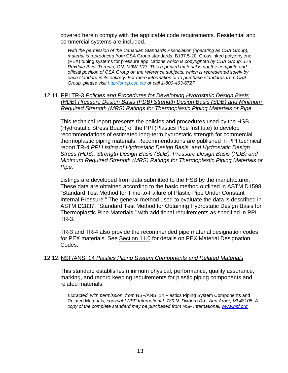covered herein comply with the applicable code requirements. Residential and commercial systems are included.

*With the permission of the Canadian Standards Association (operating as CSA Group), material is reproduced from* CSA Group standards, B137.5-20, Crosslinked polyethylene (PEX) tubing systems for pressure applications *which is copyrighted by CSA Group, 178 Rexdale Blvd, Toronto, ON, M9W 1R3. This reprinted material is not the complete and official position of CSA Group on the reference subjects, which is represented solely by each standard in its entirety. For more information or to purchase standards from CSA Group, please visit [http://shop.csa.ca/ o](http://shop.csa.ca/)r call 1-800-463-6727*

12.11. PPI TR-3 *Policies and Procedures for Developing Hydrostatic Design Basis (HDB) Pressure Design Basis (PDB) Strength Design Basis (SDB) and Minimum Required Strength (MRS) Ratings for Thermoplastic Piping Materials or Pipe*

This technical report presents the policies and procedures used by the HSB (Hydrostatic Stress Board) of the PPI (Plastics Pipe Institute) to develop recommendations of estimated long-term hydrostatic strength for commercial thermoplastic piping materials. Recommendations are published in PPI technical report TR-4 *PPI Listing of Hydrostatic Design Basis, and Hydrostatic Design Stress (HDS), Strength Design Basis (SDB), Pressure Design Basis (PDB) and Minimum Required Strength (MRS) Ratings for Thermoplastic Piping Materials or Pipe.*

Listings are developed from data submitted to the HSB by the manufacturer. These data are obtained according to the basic method outlined in ASTM D1598, "Standard Test Method for Time-to-Failure of Plastic Pipe Under Constant Internal Pressure." The general method used to evaluate the data is described in ASTM D2837, "Standard Test Method for Obtaining Hydrostatic Design Basis for Thermoplastic Pipe Materials," with additional requirements as specified in PPI TR-3.

TR-3 and TR-4 also provide the recommended pipe material designation codes for PEX materials. See Section 11.0 for details on PEX Material Designation Codes.

#### 12.12. NSF/ANSI 14 *Plastics Piping System Components and Related Materials*

This standard establishes minimum physical, performance, quality assurance, marking, and record keeping requirements for plastic piping components and related materials.

*Extracted, with permission, from* NSF/ANSI 14 Plastics Piping System Components and Related Materials*, copyright NSF International, 789 N. Dixboro Rd., Ann Arbor, MI 48105. A copy of the complete standard may be purchased from NSF International, [www.nsf.org](http://www.nsf.org/)*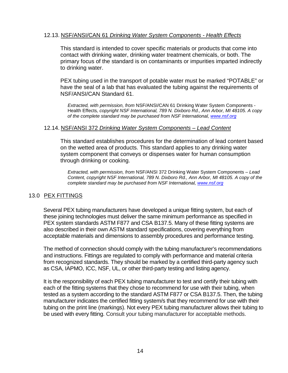## 12.13. NSF/ANSI/CAN 61 *Drinking Water System Components - Health Effects*

This standard is intended to cover specific materials or products that come into contact with drinking water, drinking water treatment chemicals, or both. The primary focus of the standard is on contaminants or impurities imparted indirectly to drinking water.

PEX tubing used in the transport of potable water must be marked "POTABLE" or have the seal of a lab that has evaluated the tubing against the requirements of NSF/ANSI/CAN Standard 61.

*Extracted, with permission, from* NSF/ANSI/CAN 61 Drinking Water System Components - Health Effects*, copyright NSF International, 789 N. Dixboro Rd., Ann Arbor, MI 48105. A copy of the complete standard may be purchased from NSF International, [www.nsf.org](http://www.nsf.org/)*

#### 12.14. NSF/ANSI 372 *Drinking Water System Components – Lead Content*

This standard establishes procedures for the determination of lead content based on the wetted area of products. This standard applies to any drinking water system component that conveys or dispenses water for human consumption through drinking or cooking.

*Extracted, with permission, from* NSF/ANSI 372 Drinking Water System Components – *Lead Content, copyright NSF International, 789 N. Dixboro Rd., Ann Arbor, MI 48105. A copy of the complete standard may be purchased from NSF International, [www.nsf.org](http://www.nsf.org/)*

## <span id="page-16-0"></span>13.0 PEX FITTINGS

Several PEX tubing manufacturers have developed a unique fitting system, but each of these joining technologies must deliver the same minimum performance as specified in PEX system standards ASTM F877 and CSA B137.5. Many of these fitting systems are also described in their own ASTM standard specifications, covering everything from acceptable materials and dimensions to assembly procedures and performance testing.

The method of connection should comply with the tubing manufacturer's recommendations and instructions. Fittings are regulated to comply with performance and material criteria from recognized standards. They should be marked by a certified third-party agency such as CSA, IAPMO, ICC, NSF, UL, or other third-party testing and listing agency.

It is the responsibility of each PEX tubing manufacturer to test and certify their tubing with each of the fitting systems that they chose to recommend for use with their tubing, when tested as a system according to the standard ASTM F877 or CSA B137.5. Then, the tubing manufacturer indicates the certified fitting system/s that they recommend for use with their tubing on the print line (markings). Not every PEX tubing manufacturer allows their tubing to be used with every fitting. Consult your tubing manufacturer for acceptable methods.